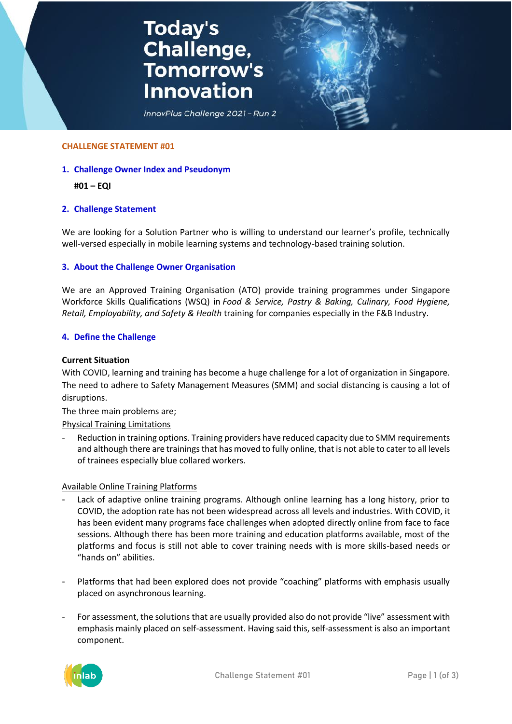# **Today's<br>Challenge,<br>Tomorrow's Innovation**



#### **CHALLENGE STATEMENT #01**

## **1. Challenge Owner Index and Pseudonym**

## **#01 – EQI**

## **2. Challenge Statement**

We are looking for a Solution Partner who is willing to understand our learner's profile, technically well-versed especially in mobile learning systems and technology-based training solution.

## **3. About the Challenge Owner Organisation**

We are an Approved Training Organisation (ATO) provide training programmes under Singapore Workforce Skills Qualifications (WSQ) in *Food & Service, Pastry & Baking, Culinary, Food Hygiene, Retail, Employability, and Safety & Health* training for companies especially in the F&B Industry.

## **4. Define the Challenge**

#### **Current Situation**

With COVID, learning and training has become a huge challenge for a lot of organization in Singapore. The need to adhere to Safety Management Measures (SMM) and social distancing is causing a lot of disruptions.

The three main problems are;

Physical Training Limitations

Reduction in training options. Training providers have reduced capacity due to SMM requirements and although there are trainings that has moved to fully online, that is not able to cater to all levels of trainees especially blue collared workers.

## Available Online Training Platforms

- Lack of adaptive online training programs. Although online learning has a long history, prior to COVID, the adoption rate has not been widespread across all levels and industries. With COVID, it has been evident many programs face challenges when adopted directly online from face to face sessions. Although there has been more training and education platforms available, most of the platforms and focus is still not able to cover training needs with is more skills-based needs or "hands on" abilities.
- Platforms that had been explored does not provide "coaching" platforms with emphasis usually placed on asynchronous learning.
- For assessment, the solutions that are usually provided also do not provide "live" assessment with emphasis mainly placed on self-assessment. Having said this, self-assessment is also an important component.

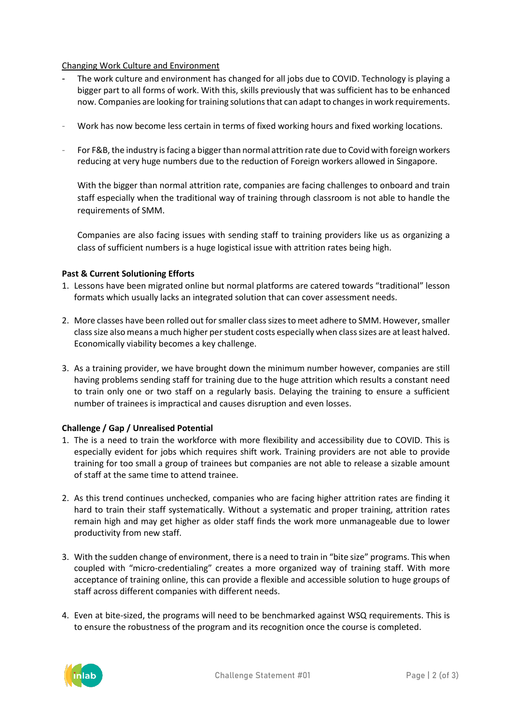# Changing Work Culture and Environment

- The work culture and environment has changed for all jobs due to COVID. Technology is playing a bigger part to all forms of work. With this, skills previously that was sufficient has to be enhanced now. Companies are looking for training solutions that can adapt to changes in work requirements.
- Work has now become less certain in terms of fixed working hours and fixed working locations.
- For F&B, the industry is facing a bigger than normal attrition rate due to Covid with foreign workers reducing at very huge numbers due to the reduction of Foreign workers allowed in Singapore.

With the bigger than normal attrition rate, companies are facing challenges to onboard and train staff especially when the traditional way of training through classroom is not able to handle the requirements of SMM.

Companies are also facing issues with sending staff to training providers like us as organizing a class of sufficient numbers is a huge logistical issue with attrition rates being high.

## **Past & Current Solutioning Efforts**

- 1. Lessons have been migrated online but normal platforms are catered towards "traditional" lesson formats which usually lacks an integrated solution that can cover assessment needs.
- 2. More classes have been rolled out for smaller class sizes to meet adhere to SMM. However, smaller class size also means a much higher per student costs especially when class sizes are at least halved. Economically viability becomes a key challenge.
- 3. As a training provider, we have brought down the minimum number however, companies are still having problems sending staff for training due to the huge attrition which results a constant need to train only one or two staff on a regularly basis. Delaying the training to ensure a sufficient number of trainees is impractical and causes disruption and even losses.

# **Challenge / Gap / Unrealised Potential**

- 1. The is a need to train the workforce with more flexibility and accessibility due to COVID. This is especially evident for jobs which requires shift work. Training providers are not able to provide training for too small a group of trainees but companies are not able to release a sizable amount of staff at the same time to attend trainee.
- 2. As this trend continues unchecked, companies who are facing higher attrition rates are finding it hard to train their staff systematically. Without a systematic and proper training, attrition rates remain high and may get higher as older staff finds the work more unmanageable due to lower productivity from new staff.
- 3. With the sudden change of environment, there is a need to train in "bite size" programs. This when coupled with "micro-credentialing" creates a more organized way of training staff. With more acceptance of training online, this can provide a flexible and accessible solution to huge groups of staff across different companies with different needs.
- 4. Even at bite-sized, the programs will need to be benchmarked against WSQ requirements. This is to ensure the robustness of the program and its recognition once the course is completed.